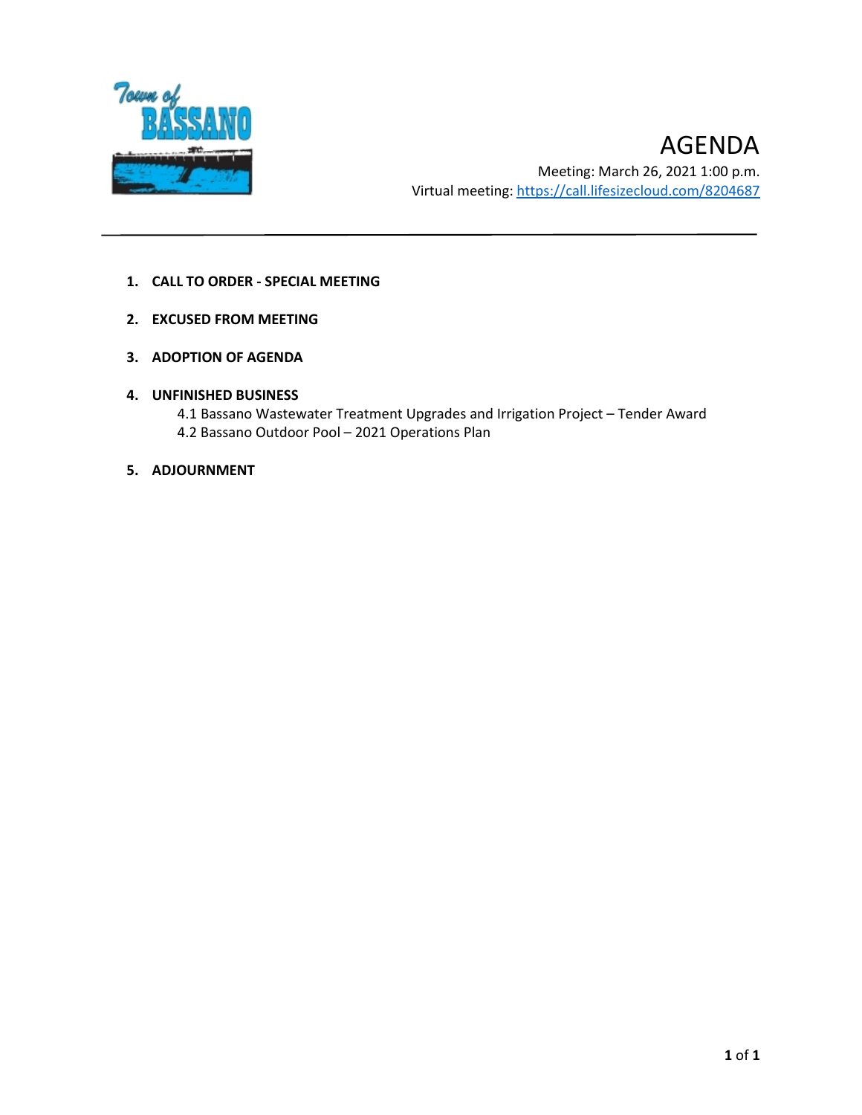

- **1. CALL TO ORDER - SPECIAL MEETING**
- **2. EXCUSED FROM MEETING**
- **3. ADOPTION OF AGENDA**
- **4. UNFINISHED BUSINESS**
	- 4.1 Bassano Wastewater Treatment Upgrades and Irrigation Project Tender Award 4.2 Bassano Outdoor Pool – 2021 Operations Plan
- **5. ADJOURNMENT**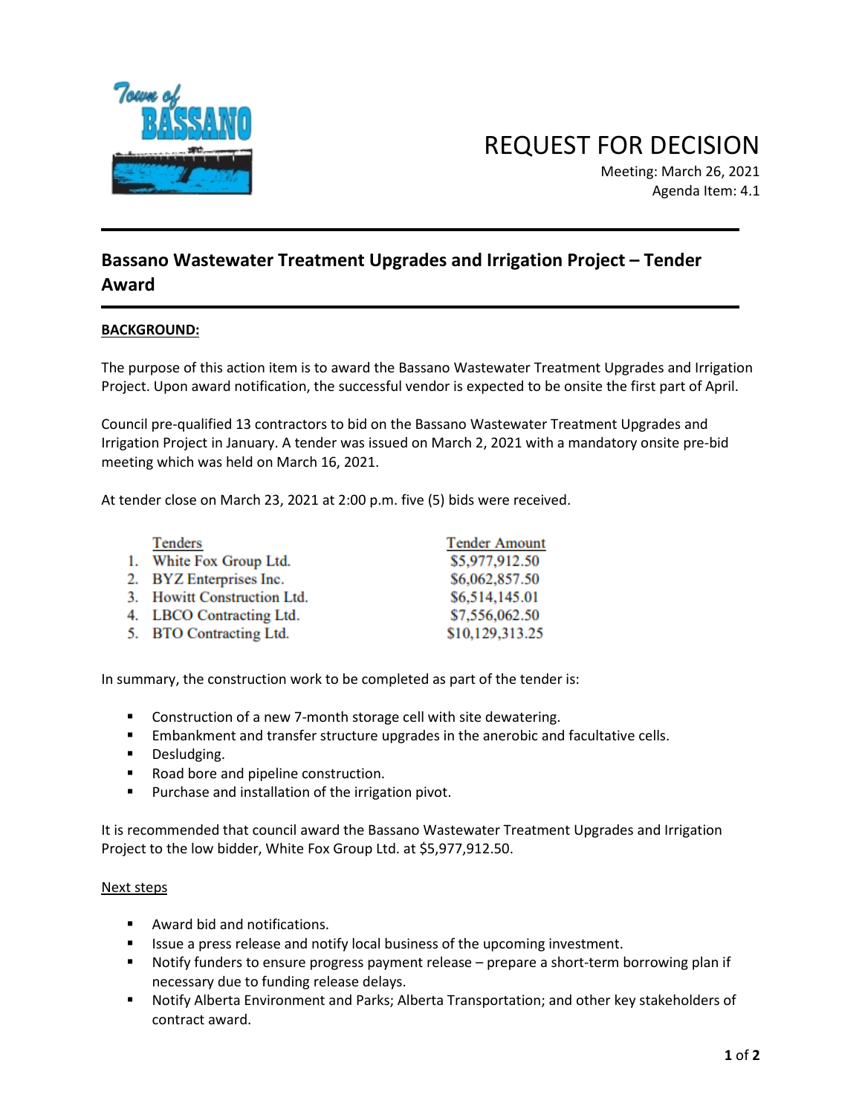

REQUEST FOR DECISION

Meeting: March 26, 2021 Agenda Item: 4.1

# **Bassano Wastewater Treatment Upgrades and Irrigation Project – Tender Award**

## **BACKGROUND:**

The purpose of this action item is to award the Bassano Wastewater Treatment Upgrades and Irrigation Project. Upon award notification, the successful vendor is expected to be onsite the first part of April.

Council pre-qualified 13 contractors to bid on the Bassano Wastewater Treatment Upgrades and Irrigation Project in January. A tender was issued on March 2, 2021 with a mandatory onsite pre-bid meeting which was held on March 16, 2021.

At tender close on March 23, 2021 at 2:00 p.m. five (5) bids were received.

| Tenders                     | <b>Tender Amount</b> |
|-----------------------------|----------------------|
| 1. White Fox Group Ltd.     | \$5,977,912.50       |
| 2. BYZ Enterprises Inc.     | \$6,062,857.50       |
| 3. Howitt Construction Ltd. | \$6,514,145.01       |
| 4. LBCO Contracting Ltd.    | \$7,556,062.50       |
| 5. BTO Contracting Ltd.     | \$10,129,313.25      |

In summary, the construction work to be completed as part of the tender is:

- Construction of a new 7-month storage cell with site dewatering.
- **Embankment and transfer structure upgrades in the anerobic and facultative cells.**
- **Desludging.**
- Road bore and pipeline construction.
- **Purchase and installation of the irrigation pivot.**

It is recommended that council award the Bassano Wastewater Treatment Upgrades and Irrigation Project to the low bidder, White Fox Group Ltd. at \$5,977,912.50.

#### Next steps

- Award bid and notifications.
- Issue a press release and notify local business of the upcoming investment.
- Notify funders to ensure progress payment release prepare a short-term borrowing plan if necessary due to funding release delays.
- Notify Alberta Environment and Parks; Alberta Transportation; and other key stakeholders of contract award.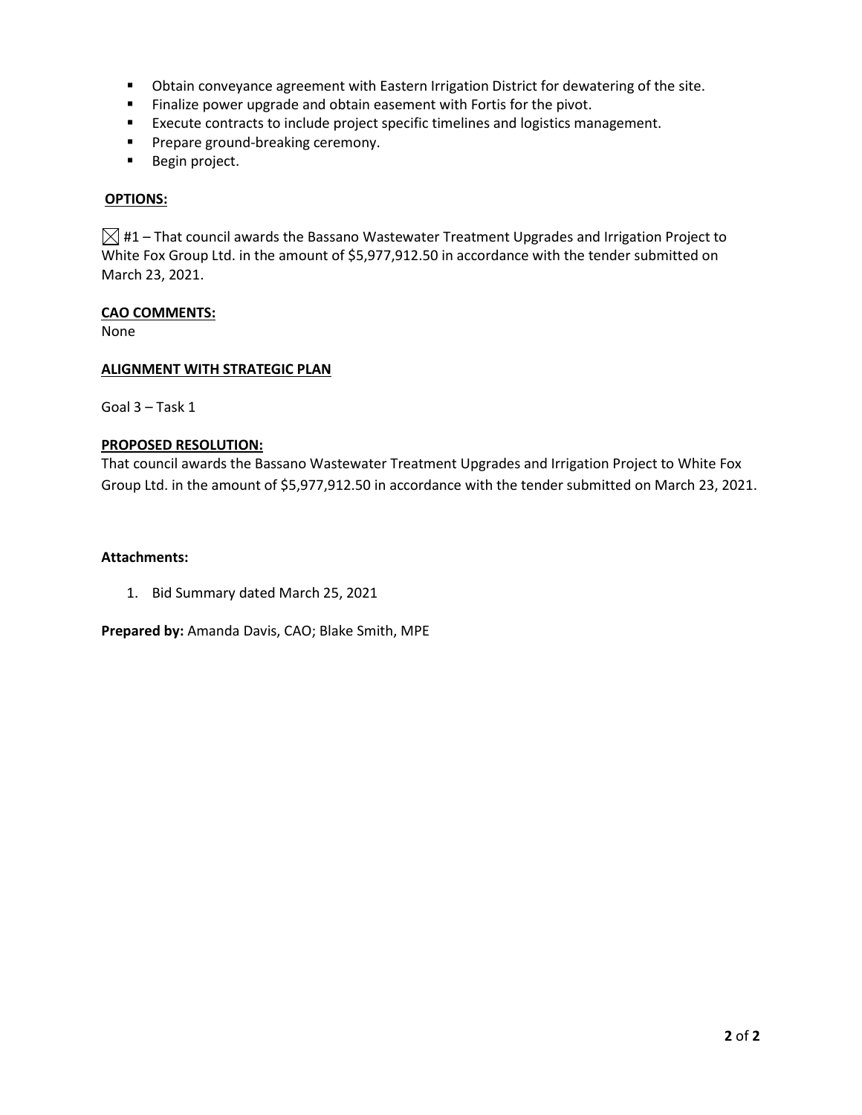- Obtain conveyance agreement with Eastern Irrigation District for dewatering of the site.
- **Finalize power upgrade and obtain easement with Fortis for the pivot.**
- **Execute contracts to include project specific timelines and logistics management.**
- **Prepare ground-breaking ceremony.**
- **Begin project.**

### **OPTIONS:**

 $\boxtimes$  #1 – That council awards the Bassano Wastewater Treatment Upgrades and Irrigation Project to White Fox Group Ltd. in the amount of \$5,977,912.50 in accordance with the tender submitted on March 23, 2021.

### **CAO COMMENTS:**

None

### **ALIGNMENT WITH STRATEGIC PLAN**

Goal 3 – Task 1

### **PROPOSED RESOLUTION:**

That council awards the Bassano Wastewater Treatment Upgrades and Irrigation Project to White Fox Group Ltd. in the amount of \$5,977,912.50 in accordance with the tender submitted on March 23, 2021.

### **Attachments:**

1. Bid Summary dated March 25, 2021

**Prepared by:** Amanda Davis, CAO; Blake Smith, MPE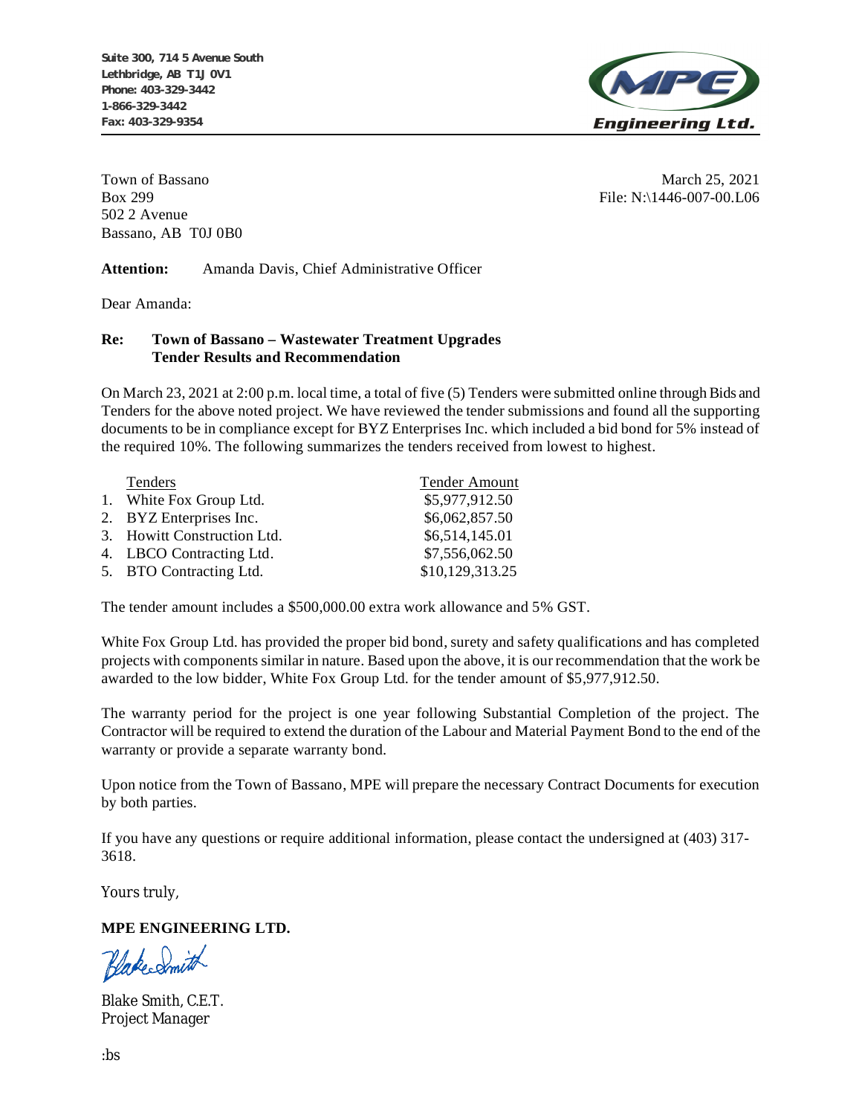

502 2 Avenue Bassano, AB T0J 0B0

Town of Bassano March 25, 2021 Box 299 File: N:\1446-007-00.L06

**Attention:** Amanda Davis, Chief Administrative Officer

Dear Amanda:

### **Re: Town of Bassano – Wastewater Treatment Upgrades Tender Results and Recommendation**

On March 23, 2021 at 2:00 p.m. local time, a total of five (5) Tenders were submitted online through Bids and Tenders for the above noted project. We have reviewed the tender submissions and found all the supporting documents to be in compliance except for BYZ Enterprises Inc. which included a bid bond for 5% instead of the required 10%. The following summarizes the tenders received from lowest to highest.

| Tenders                     | <b>Tender Amount</b> |
|-----------------------------|----------------------|
| 1. White Fox Group Ltd.     | \$5,977,912.50       |
| 2. BYZ Enterprises Inc.     | \$6,062,857.50       |
| 3. Howitt Construction Ltd. | \$6,514,145.01       |
| 4. LBCO Contracting Ltd.    | \$7,556,062.50       |
| 5. BTO Contracting Ltd.     | \$10,129,313.25      |

The tender amount includes a \$500,000.00 extra work allowance and 5% GST.

White Fox Group Ltd. has provided the proper bid bond, surety and safety qualifications and has completed projects with components similar in nature. Based upon the above, it is our recommendation that the work be awarded to the low bidder, White Fox Group Ltd. for the tender amount of \$5,977,912.50.

The warranty period for the project is one year following Substantial Completion of the project. The Contractor will be required to extend the duration of the Labour and Material Payment Bond to the end of the warranty or provide a separate warranty bond.

Upon notice from the Town of Bassano, MPE will prepare the necessary Contract Documents for execution by both parties.

If you have any questions or require additional information, please contact the undersigned at (403) 317- 3618.

Yours truly,

# **MPE ENGINEERING LTD.**

BlakeSmith

Blake Smith, C.E.T. Project Manager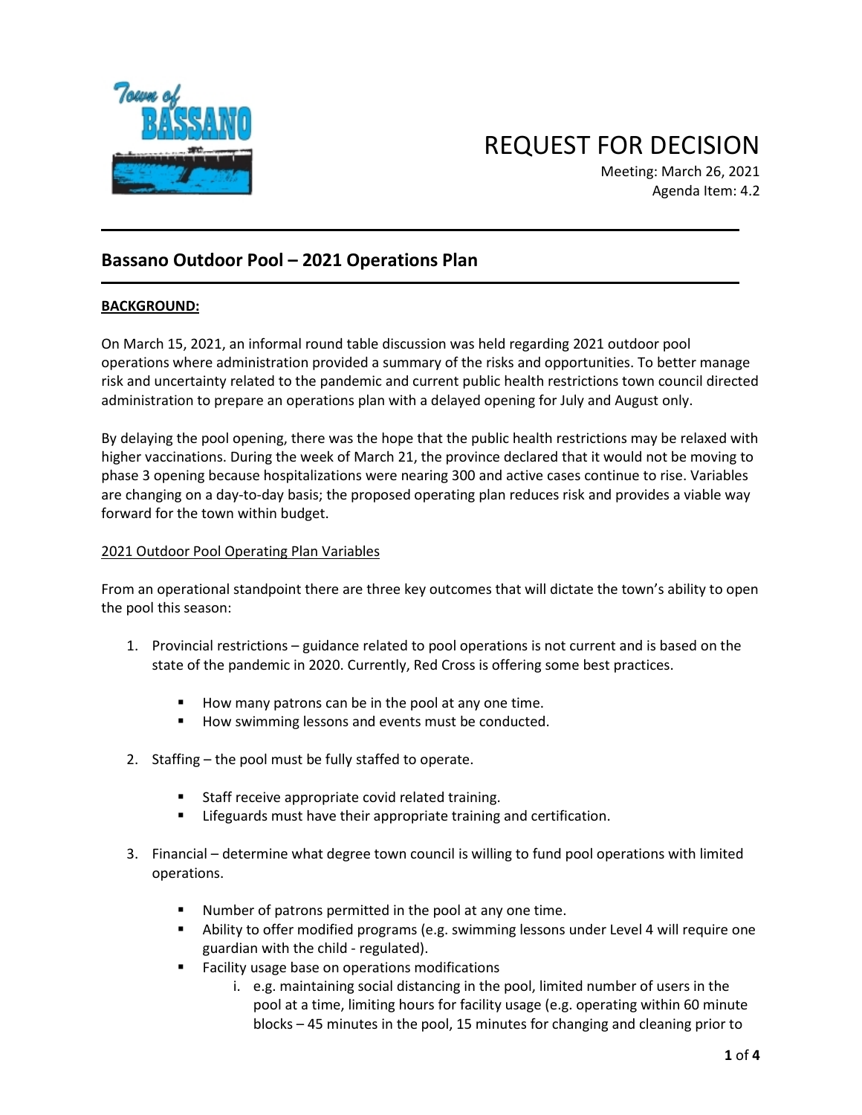

REQUEST FOR DECISION

Meeting: March 26, 2021 Agenda Item: 4.2

# **Bassano Outdoor Pool – 2021 Operations Plan**

## **BACKGROUND:**

On March 15, 2021, an informal round table discussion was held regarding 2021 outdoor pool operations where administration provided a summary of the risks and opportunities. To better manage risk and uncertainty related to the pandemic and current public health restrictions town council directed administration to prepare an operations plan with a delayed opening for July and August only.

By delaying the pool opening, there was the hope that the public health restrictions may be relaxed with higher vaccinations. During the week of March 21, the province declared that it would not be moving to phase 3 opening because hospitalizations were nearing 300 and active cases continue to rise. Variables are changing on a day-to-day basis; the proposed operating plan reduces risk and provides a viable way forward for the town within budget.

### 2021 Outdoor Pool Operating Plan Variables

From an operational standpoint there are three key outcomes that will dictate the town's ability to open the pool this season:

- 1. Provincial restrictions guidance related to pool operations is not current and is based on the state of the pandemic in 2020. Currently, Red Cross is offering some best practices.
	- How many patrons can be in the pool at any one time.
	- How swimming lessons and events must be conducted.
- 2. Staffing the pool must be fully staffed to operate.
	- **Staff receive appropriate covid related training.**
	- **E** Lifeguards must have their appropriate training and certification.
- 3. Financial determine what degree town council is willing to fund pool operations with limited operations.
	- Number of patrons permitted in the pool at any one time.
	- Ability to offer modified programs (e.g. swimming lessons under Level 4 will require one guardian with the child - regulated).
	- **Facility usage base on operations modifications** 
		- i. e.g. maintaining social distancing in the pool, limited number of users in the pool at a time, limiting hours for facility usage (e.g. operating within 60 minute blocks – 45 minutes in the pool, 15 minutes for changing and cleaning prior to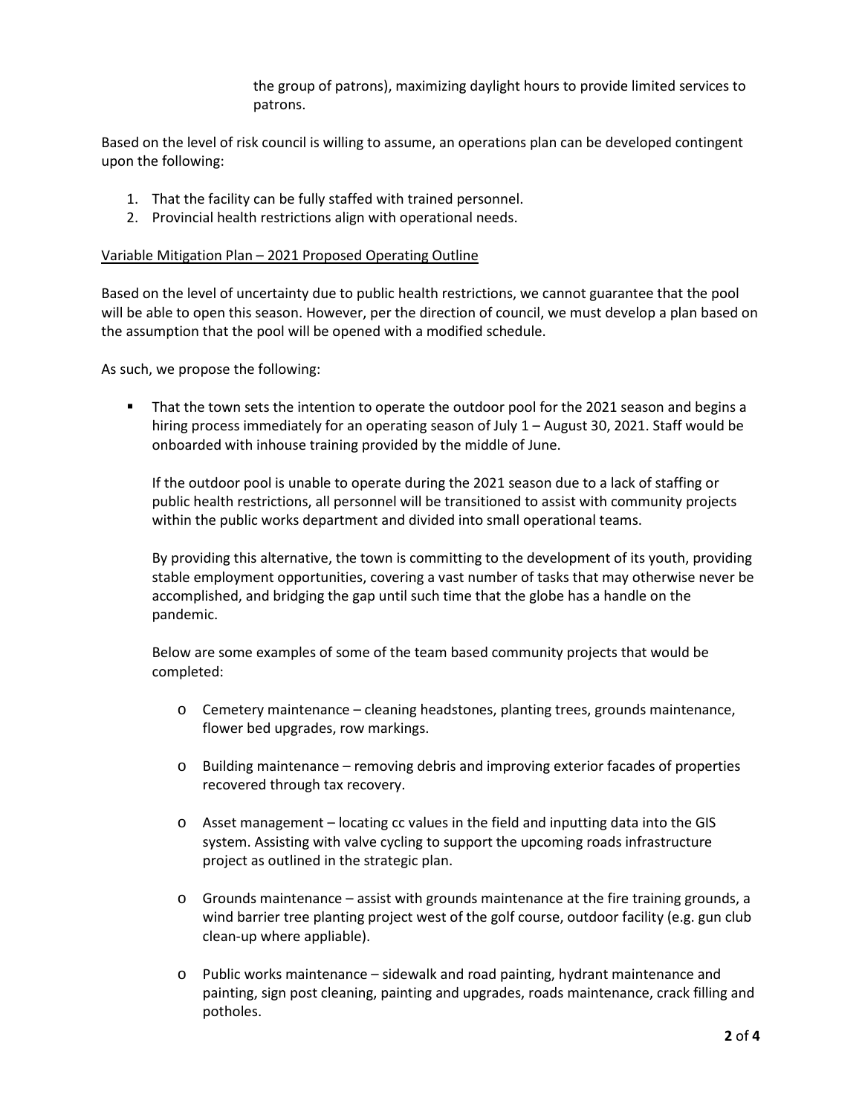the group of patrons), maximizing daylight hours to provide limited services to patrons.

Based on the level of risk council is willing to assume, an operations plan can be developed contingent upon the following:

- 1. That the facility can be fully staffed with trained personnel.
- 2. Provincial health restrictions align with operational needs.

#### Variable Mitigation Plan – 2021 Proposed Operating Outline

Based on the level of uncertainty due to public health restrictions, we cannot guarantee that the pool will be able to open this season. However, per the direction of council, we must develop a plan based on the assumption that the pool will be opened with a modified schedule.

As such, we propose the following:

That the town sets the intention to operate the outdoor pool for the 2021 season and begins a hiring process immediately for an operating season of July 1 - August 30, 2021. Staff would be onboarded with inhouse training provided by the middle of June.

If the outdoor pool is unable to operate during the 2021 season due to a lack of staffing or public health restrictions, all personnel will be transitioned to assist with community projects within the public works department and divided into small operational teams.

By providing this alternative, the town is committing to the development of its youth, providing stable employment opportunities, covering a vast number of tasks that may otherwise never be accomplished, and bridging the gap until such time that the globe has a handle on the pandemic.

Below are some examples of some of the team based community projects that would be completed:

- o Cemetery maintenance cleaning headstones, planting trees, grounds maintenance, flower bed upgrades, row markings.
- o Building maintenance removing debris and improving exterior facades of properties recovered through tax recovery.
- o Asset management locating cc values in the field and inputting data into the GIS system. Assisting with valve cycling to support the upcoming roads infrastructure project as outlined in the strategic plan.
- o Grounds maintenance assist with grounds maintenance at the fire training grounds, a wind barrier tree planting project west of the golf course, outdoor facility (e.g. gun club clean-up where appliable).
- o Public works maintenance sidewalk and road painting, hydrant maintenance and painting, sign post cleaning, painting and upgrades, roads maintenance, crack filling and potholes.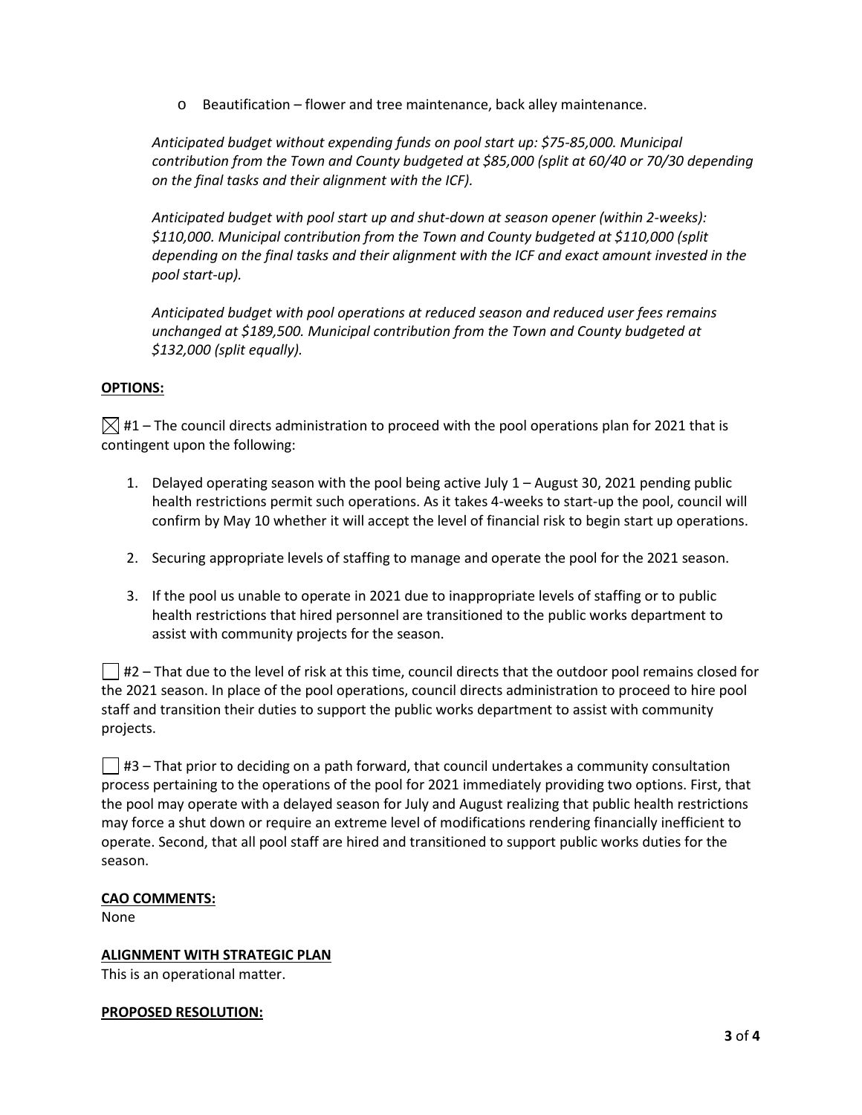o Beautification – flower and tree maintenance, back alley maintenance.

*Anticipated budget without expending funds on pool start up: \$75-85,000. Municipal contribution from the Town and County budgeted at \$85,000 (split at 60/40 or 70/30 depending on the final tasks and their alignment with the ICF).*

*Anticipated budget with pool start up and shut-down at season opener (within 2-weeks): \$110,000. Municipal contribution from the Town and County budgeted at \$110,000 (split depending on the final tasks and their alignment with the ICF and exact amount invested in the pool start-up).*

*Anticipated budget with pool operations at reduced season and reduced user fees remains unchanged at \$189,500. Municipal contribution from the Town and County budgeted at \$132,000 (split equally).*

## **OPTIONS:**

 $\boxtimes$  #1 – The council directs administration to proceed with the pool operations plan for 2021 that is contingent upon the following:

- 1. Delayed operating season with the pool being active July 1 August 30, 2021 pending public health restrictions permit such operations. As it takes 4-weeks to start-up the pool, council will confirm by May 10 whether it will accept the level of financial risk to begin start up operations.
- 2. Securing appropriate levels of staffing to manage and operate the pool for the 2021 season.
- 3. If the pool us unable to operate in 2021 due to inappropriate levels of staffing or to public health restrictions that hired personnel are transitioned to the public works department to assist with community projects for the season.

 $\vert \ \vert$  #2 – That due to the level of risk at this time, council directs that the outdoor pool remains closed for the 2021 season. In place of the pool operations, council directs administration to proceed to hire pool staff and transition their duties to support the public works department to assist with community projects.

 $\Box$  #3 – That prior to deciding on a path forward, that council undertakes a community consultation process pertaining to the operations of the pool for 2021 immediately providing two options. First, that the pool may operate with a delayed season for July and August realizing that public health restrictions may force a shut down or require an extreme level of modifications rendering financially inefficient to operate. Second, that all pool staff are hired and transitioned to support public works duties for the season.

### **CAO COMMENTS:**

None

**ALIGNMENT WITH STRATEGIC PLAN** This is an operational matter.

#### **PROPOSED RESOLUTION:**